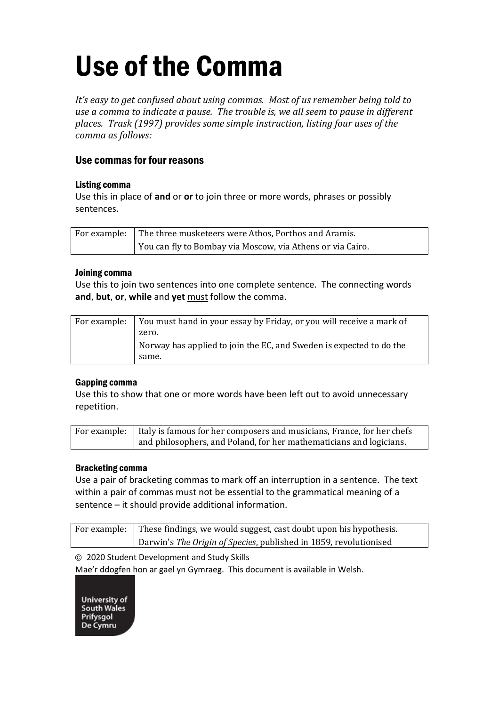# Use of the Comma

*It's easy to get confused about using commas. Most of us remember being told to use a comma to indicate a pause. The trouble is, we all seem to pause in different places. Trask (1997) provides some simple instruction, listing four uses of the comma as follows:*

### Use commas for four reasons

#### Listing comma

Use this in place of **and** or **or** to join three or more words, phrases or possibly sentences.

| For example: The three musketeers were Athos, Porthos and Aramis. |
|-------------------------------------------------------------------|
| You can fly to Bombay via Moscow, via Athens or via Cairo.        |

#### Joining comma

Use this to join two sentences into one complete sentence. The connecting words **and**, **but**, **or**, **while** and **yet** must follow the comma.

| For example: You must hand in your essay by Friday, or you will receive a mark of |
|-----------------------------------------------------------------------------------|
| zero.                                                                             |
| Norway has applied to join the EC, and Sweden is expected to do the               |
| same.                                                                             |

#### Gapping comma

Use this to show that one or more words have been left out to avoid unnecessary repetition.

| For example: Italy is famous for her composers and musicians, France, for her chefs |  |
|-------------------------------------------------------------------------------------|--|
| and philosophers, and Poland, for her mathematicians and logicians.                 |  |

#### Bracketing comma

Use a pair of bracketing commas to mark off an interruption in a sentence. The text within a pair of commas must not be essential to the grammatical meaning of a sentence – it should provide additional information.

| For example: These findings, we would suggest, cast doubt upon his hypothesis. |
|--------------------------------------------------------------------------------|
| Darwin's The Origin of Species, published in 1859, revolutionised              |

© 2020 Student Development and Study Skills

Mae'r ddogfen hon ar gael yn Gymraeg. This document is available in Welsh.

University of **South Wales** Prifysgol<br>De Cymru